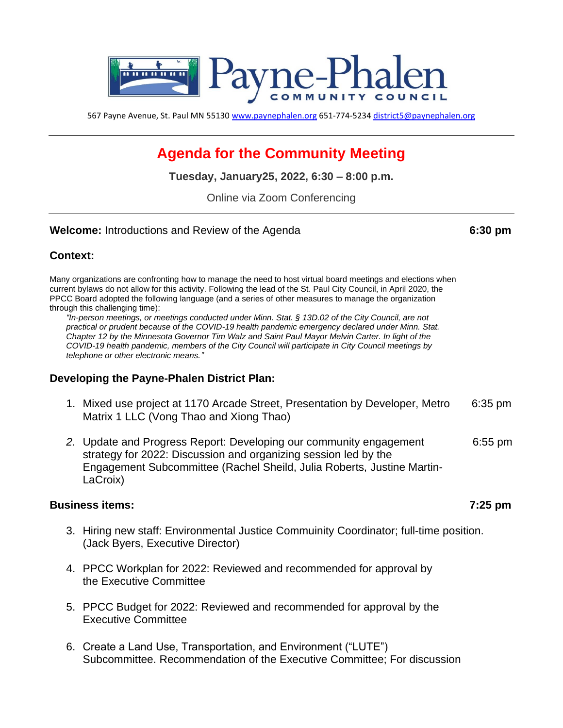

567 Payne Avenue, St. Paul MN 55130 [www.paynephalen.org](http://www.paynephalen.org/) 651-774-5234 [district5@paynephalen.org](mailto:district5@paynephalen.org)

# **Agenda for the Community Meeting**

**Tuesday, January25, 2022, 6:30 – 8:00 p.m.**

Online via Zoom Conferencing

**Welcome:** Introductions and Review of the Agenda **6:30 pm**

### **Context:**

Many organizations are confronting how to manage the need to host virtual board meetings and elections when current bylaws do not allow for this activity. Following the lead of the St. Paul City Council, in April 2020, the PPCC Board adopted the following language (and a series of other measures to manage the organization through this challenging time):

*"In-person meetings, or meetings conducted under Minn. Stat. § 13D.02 of the City Council, are not practical or prudent because of the COVID-19 health pandemic emergency declared under Minn. Stat. Chapter 12 by the Minnesota Governor Tim Walz and Saint Paul Mayor Melvin Carter. In light of the COVID-19 health pandemic, members of the City Council will participate in City Council meetings by telephone or other electronic means."*

#### **Developing the Payne-Phalen District Plan:**

- 1. Mixed use project at 1170 Arcade Street, Presentation by Developer, Metro 6:35 pm Matrix 1 LLC (Vong Thao and Xiong Thao)
- *2.* Update and Progress Report: Developing our community engagement 6:55 pm strategy for 2022: Discussion and organizing session led by the Engagement Subcommittee (Rachel Sheild, Julia Roberts, Justine Martin-LaCroix)

#### **Business items: 7:25 pm**

- 3. Hiring new staff: Environmental Justice Commuinity Coordinator; full-time position. (Jack Byers, Executive Director)
- 4. PPCC Workplan for 2022: Reviewed and recommended for approval by the Executive Committee
- 5. PPCC Budget for 2022: Reviewed and recommended for approval by the Executive Committee
- 6. Create a Land Use, Transportation, and Environment ("LUTE") Subcommittee. Recommendation of the Executive Committee; For discussion